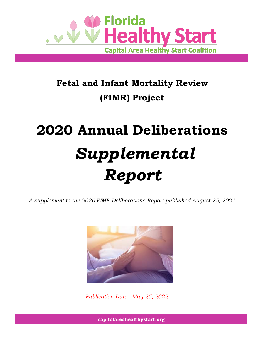

# **Fetal and Infant Mortality Review (FIMR) Project**

# **2020 Annual Deliberations** *Supplemental Report*

*A supplement to the 2020 FIMR Deliberations Report published August 25, 2021*



*Publication Date: May 25, 2022*

**capitalareahealthystart.org**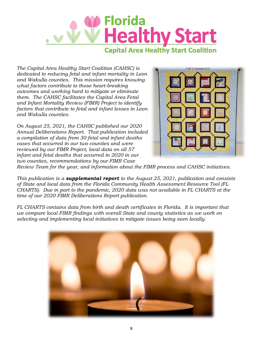

*The Capital Area Healthy Start Coalition (CAHSC) is dedicated to reducing fetal and infant mortality in Leon and Wakulla counties. This mission requires knowing what factors contribute to those heart-breaking outcomes and working hard to mitigate or eliminate them. The CAHSC facilitates the Capital Area Fetal and Infant Mortality Review (FIMR) Project to identify factors that contribute to fetal and infant losses in Leon and Wakulla counties.*

*On August 25, 2021, the CAHSC published our 2020 Annual Deliberations Report. That publication included a compilation of data from 30 fetal and infant deaths cases that occurred in our two counties and were reviewed by our FIMR Project, local data on all 57 infant and fetal deaths that occurred in 2020 in our two counties, recommendations by our FIMR Case* 



*Review Team for the year, and information about the FIMR process and CAHSC initiatives.*

*This publication is a supplemental report to the August 25, 2021, publication and consists of State and local data from the Florida Community Health Assessment Resource Tool (FL CHARTS). Due in part to the pandemic, 2020 data was not available in FL CHARTS at the time of our 2020 FIMR Deliberations Report publication.*

*FL CHARTS contains data from birth and death certificates in Florida. It is important that we compare local FIMR findings with overall State and county statistics as we work on selecting and implementing local initiatives to mitigate issues being seen locally.* 

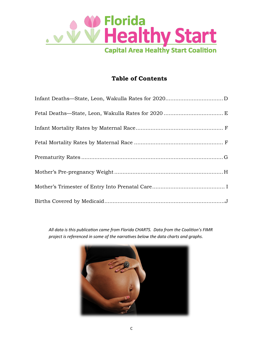

#### **Table of Contents**

*All data is this publication came from Florida CHARTS. Data from the Coalition's FIMR project is referenced in some of the narratives below the data charts and graphs.*

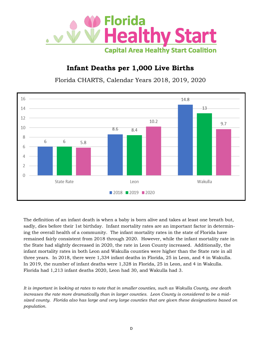

# **Infant Deaths per 1,000 Live Births**

Florida CHARTS, Calendar Years 2018, 2019, 2020



The definition of an infant death is when a baby is born alive and takes at least one breath but, sadly, dies before their 1st birthday. Infant mortality rates are an important factor in determining the overall health of a community. The infant mortality rates in the state of Florida have remained fairly consistent from 2018 through 2020. However, while the infant mortality rate in the State had slightly decreased in 2020, the rate in Leon County increased. Additionally, the infant mortality rates in both Leon and Wakulla counties were higher than the State rate in all three years. In 2018, there were 1,334 infant deaths in Florida, 25 in Leon, and 4 in Wakulla. In 2019, the number of infant deaths were 1,328 in Florida, 25 in Leon, and 4 in Wakulla. Florida had 1,213 infant deaths 2020, Leon had 30, and Wakulla had 3.

*It is important in looking at rates to note that in smaller counties, such as Wakulla County, one death increases the rate more dramatically than in larger counties. Leon County is considered to be a midsized county. Florida also has large and very large counties that are given these designations based on population.*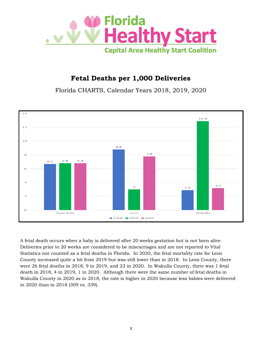

# **Fetal Deaths per 1,000 Deliveries**

Florida CHARTS, Calendar Years 2018, 2019, 2020



A fetal death occurs when a baby is delivered after 20 weeks gestation but is not born alive. Deliveries prior to 20 weeks are considered to be miscarriages and are not reported to Vital Statistics nor counted as a fetal deaths in Florida. In 2020, the fetal mortality rate for Leon County increased quite a bit from 2019 but was still lower than in 2018. In Leon County, there were 26 fetal deaths in 2018, 9 in 2019, and 23 in 2020. In Wakulla County, there was 1 fetal death in 2018, 4 in 2019, 1 in 2020. Although there were the same number of fetal deaths in Wakulla County in 2020 as in 2018, the rate is higher in 2020 because less babies were delivered in 2020 than in 2018 (309 vs. 339).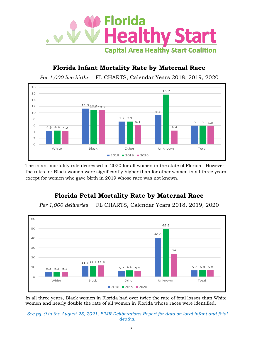

#### **Florida Infant Mortality Rate by Maternal Race**





The infant mortality rate decreased in 2020 for all women in the state of Florida. However, the rates for Black women were significantly higher than for other women in all three years except for women who gave birth in 2019 whose race was not known.

#### **Florida Fetal Mortality Rate by Maternal Race**

*Per 1,000 deliveries* FL CHARTS, Calendar Years 2018, 2019, 2020



In all three years, Black women in Florida had over twice the rate of fetal losses than White women and nearly double the rate of all women in Florida whose races were identified.

*See pg. 9 in the August 25, 2021, FIMR Deliberations Report for data on local infant and fetal deaths.*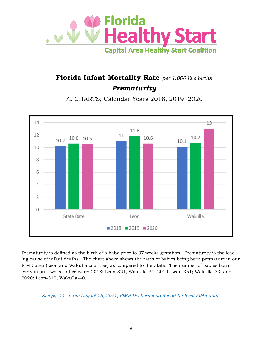

# **Florida Infant Mortality Rate** *per 1,000 live births Prematurity*

FL CHARTS, Calendar Years 2018, 2019, 2020



Prematurity is defined as the birth of a baby prior to 37 weeks gestation. Prematurity is the leading cause of infant deaths. The chart above shows the rates of babies being born premature in our FIMR area (Leon and Wakulla counties) as compared to the State. The number of babies born early in our two counties were: 2018: Leon-321, Wakulla-34; 2019: Leon-351; Wakulla-33; and 2020: Leon-312, Wakulla-40.

*See pg. 14 in the August 25, 2021, FIMR Deliberations Report for local FIMR data.*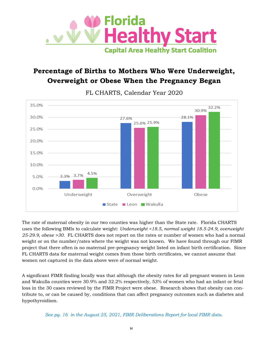

# **Percentage of Births to Mothers Who Were Underweight, Overweight or Obese When the Pregnancy Began**



FL CHARTS, Calendar Year 2020

The rate of maternal obesity in our two counties was higher than the State rate. Florida CHARTS uses the following BMIs to calculate weight: *Underweight <18.5, normal weight 18.5-24.9, overweight 25-29.9, obese >30.* FL CHARTS does not report on the rates or number of women who had a normal weight or on the number/rates where the weight was not known. We have found through our FIMR project that there often is no maternal pre-pregnancy weight listed on infant birth certification. Since FL CHARTS data for maternal weight comes from those birth certificates, we cannot assume that women not captured in the data above were of normal weight.

A significant FIMR finding locally was that although the obesity rates for all pregnant women in Leon and Wakulla counties were 30.9% and 32.2% respectively, 53% of women who had an infant or fetal loss in the 30 cases reviewed by the FIMR Project were obese. Research shows that obesity can contribute to, or can be caused by, conditions that can affect pregnancy outcomes such as diabetes and hypothyroidism.

*See pg. 16 in the August 25, 2021, FIMR Deliberations Report for local FIMR data.*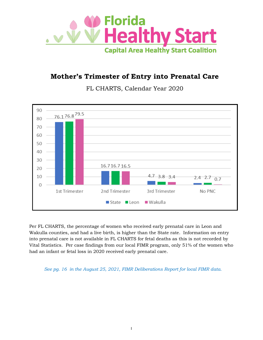

### **Mother's Trimester of Entry into Prenatal Care**

FL CHARTS, Calendar Year 2020



Per FL CHARTS, the percentage of women who received early prenatal care in Leon and Wakulla counties, and had a live birth, is higher than the State rate. Information on entry into prenatal care is not available in FL CHARTS for fetal deaths as this is not recorded by Vital Statistics. Per case findings from our local FIMR program, only 51% of the women who had an infant or fetal loss in 2020 received early prenatal care.

*See pg. 16 in the August 25, 2021, FIMR Deliberations Report for local FIMR data.*